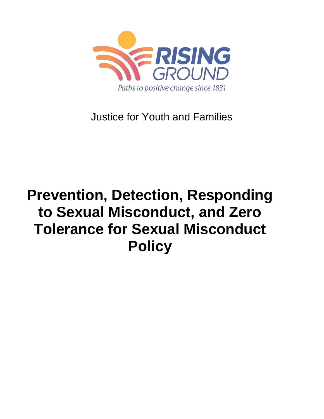

Justice for Youth and Families

# **Prevention, Detection, Responding to Sexual Misconduct, and Zero Tolerance for Sexual Misconduct Policy**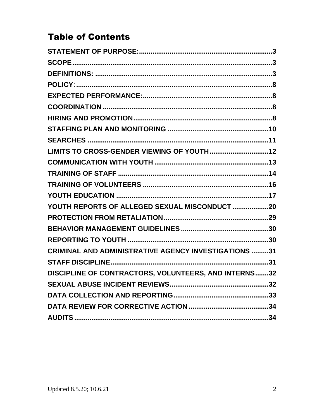# **Table of Contents**

| YOUTH REPORTS OF ALLEGED SEXUAL MISCONDUCT 20               |  |
|-------------------------------------------------------------|--|
|                                                             |  |
|                                                             |  |
|                                                             |  |
| <b>CRIMINAL AND ADMINISTRATIVE AGENCY INVESTIGATIONS 31</b> |  |
|                                                             |  |
| DISCIPLINE OF CONTRACTORS, VOLUNTEERS, AND INTERNS32        |  |
|                                                             |  |
|                                                             |  |
|                                                             |  |
|                                                             |  |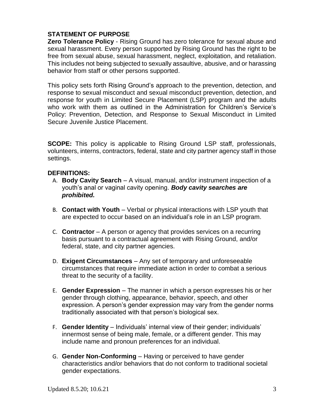# **STATEMENT OF PURPOSE**

**Zero Tolerance Policy** - Rising Ground has zero tolerance for sexual abuse and sexual harassment. Every person supported by Rising Ground has the right to be free from sexual abuse, sexual harassment, neglect, exploitation, and retaliation. This includes not being subjected to sexually assaultive, abusive, and or harassing behavior from staff or other persons supported.

This policy sets forth Rising Ground's approach to the prevention, detection, and response to sexual misconduct and sexual misconduct prevention, detection, and response for youth in Limited Secure Placement (LSP) program and the adults who work with them as outlined in the Administration for Children's Service's Policy: Prevention, Detection, and Response to Sexual Misconduct in Limited Secure Juvenile Justice Placement.

**SCOPE:** This policy is applicable to Rising Ground LSP staff, professionals, volunteers, interns, contractors, federal, state and city partner agency staff in those settings.

# **DEFINITIONS:**

- A. **Body Cavity Search** A visual, manual, and/or instrument inspection of a youth's anal or vaginal cavity opening. *Body cavity searches are prohibited.*
- B. **Contact with Youth** Verbal or physical interactions with LSP youth that are expected to occur based on an individual's role in an LSP program.
- C. **Contractor** A person or agency that provides services on a recurring basis pursuant to a contractual agreement with Rising Ground, and/or federal, state, and city partner agencies.
- D. **Exigent Circumstances** Any set of temporary and unforeseeable circumstances that require immediate action in order to combat a serious threat to the security of a facility.
- E. **Gender Expression** The manner in which a person expresses his or her gender through clothing, appearance, behavior, speech, and other expression. A person's gender expression may vary from the gender norms traditionally associated with that person's biological sex.
- F. **Gender Identity**  Individuals' internal view of their gender; individuals' innermost sense of being male, female, or a different gender. This may include name and pronoun preferences for an individual.
- G. **Gender Non-Conforming** Having or perceived to have gender characteristics and/or behaviors that do not conform to traditional societal gender expectations.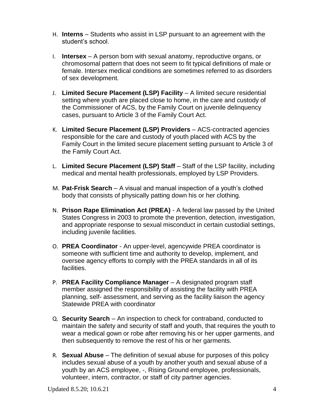- H. **Interns** Students who assist in LSP pursuant to an agreement with the student's school.
- I. **Intersex**  A person born with sexual anatomy, reproductive organs, or chromosomal pattern that does not seem to fit typical definitions of male or female. Intersex medical conditions are sometimes referred to as disorders of sex development.
- J. **Limited Secure Placement (LSP) Facility** A limited secure residential setting where youth are placed close to home, in the care and custody of the Commissioner of ACS, by the Family Court on juvenile delinquency cases, pursuant to Article 3 of the Family Court Act.
- K. **Limited Secure Placement (LSP) Providers** ACS-contracted agencies responsible for the care and custody of youth placed with ACS by the Family Court in the limited secure placement setting pursuant to Article 3 of the Family Court Act.
- L. **Limited Secure Placement (LSP) Staff** Staff of the LSP facility, including medical and mental health professionals, employed by LSP Providers.
- M. **Pat-Frisk Search** *–* A visual and manual inspection of a youth's clothed body that consists of physically patting down his or her clothing.
- N. **Prison Rape Elimination Act (PREA)** A federal law passed by the United States Congress in 2003 to promote the prevention, detection, investigation, and appropriate response to sexual misconduct in certain custodial settings, including juvenile facilities.
- O. **PREA Coordinator** An upper-level, agencywide PREA coordinator is someone with sufficient time and authority to develop, implement, and oversee agency efforts to comply with the PREA standards in all of its facilities.
- P. **PREA Facility Compliance Manager** A designated program staff member assigned the responsibility of assisting the facility with PREA planning, self- assessment, and serving as the facility liaison the agency Statewide PREA with coordinator
- Q. **Security Search** An inspection to check for contraband, conducted to maintain the safety and security of staff and youth, that requires the youth to wear a medical gown or robe after removing his or her upper garments, and then subsequently to remove the rest of his or her garments.
- R. **Sexual Abuse** The definition of sexual abuse for purposes of this policy includes sexual abuse of a youth by another youth and sexual abuse of a youth by an ACS employee, -, Rising Ground employee, professionals, volunteer, intern, contractor, or staff of city partner agencies.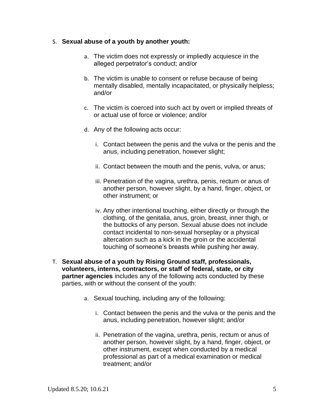#### S. **Sexual abuse of a youth by another youth:**

- a. The victim does not expressly or impliedly acquiesce in the alleged perpetrator's conduct; and/or
- b. The victim is unable to consent or refuse because of being mentally disabled, mentally incapacitated, or physically helpless; and/or
- c. The victim is coerced into such act by overt or implied threats of or actual use of force or violence; and/or
- d. Any of the following acts occur:
	- i. Contact between the penis and the vulva or the penis and the anus, including penetration, however slight;
	- ii. Contact between the mouth and the penis, vulva, or anus;
	- iii. Penetration of the vagina, urethra, penis, rectum or anus of another person, however slight, by a hand, finger, object, or other instrument; or
	- iv. Any other intentional touching, either directly or through the clothing, of the genitalia, anus, groin, breast, inner thigh, or the buttocks of any person. Sexual abuse does not include contact incidental to non-sexual horseplay or a physical altercation such as a kick in the groin or the accidental touching of someone's breasts while pushing her away.
- T. **Sexual abuse of a youth by Rising Ground staff, professionals, volunteers, interns, contractors, or staff of federal, state, or city partner agencies** includes any of the following acts conducted by these parties, with or without the consent of the youth:
	- a. Sexual touching, including any of the following:
		- i. Contact between the penis and the vulva or the penis and the anus, including penetration, however slight; and/or
		- ii. Penetration of the vagina, urethra, penis, rectum or anus of another person, however slight, by a hand, finger, object, or other instrument, except when conducted by a medical professional as part of a medical examination or medical treatment; and/or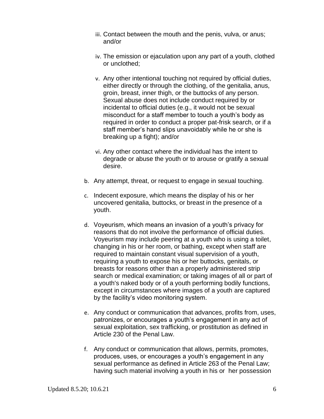- iii. Contact between the mouth and the penis, vulva, or anus; and/or
- iv. The emission or ejaculation upon any part of a youth, clothed or unclothed;
- v. Any other intentional touching not required by official duties, either directly or through the clothing, of the genitalia, anus, groin, breast, inner thigh, or the buttocks of any person. Sexual abuse does not include conduct required by or incidental to official duties (e.g., it would not be sexual misconduct for a staff member to touch a youth's body as required in order to conduct a proper pat-frisk search, or if a staff member's hand slips unavoidably while he or she is breaking up a fight); and/or
- vi. Any other contact where the individual has the intent to degrade or abuse the youth or to arouse or gratify a sexual desire.
- b. Any attempt, threat, or request to engage in sexual touching.
- c. Indecent exposure, which means the display of his or her uncovered genitalia, buttocks, or breast in the presence of a youth.
- d. Voyeurism, which means an invasion of a youth's privacy for reasons that do not involve the performance of official duties. Voyeurism may include peering at a youth who is using a toilet, changing in his or her room, or bathing, except when staff are required to maintain constant visual supervision of a youth, requiring a youth to expose his or her buttocks, genitals, or breasts for reasons other than a properly administered strip search or medical examination; or taking images of all or part of a youth's naked body or of a youth performing bodily functions, except in circumstances where images of a youth are captured by the facility's video monitoring system.
- e. Any conduct or communication that advances, profits from, uses, patronizes, or encourages a youth's engagement in any act of sexual exploitation, sex trafficking, or prostitution as defined in Article 230 of the Penal Law.
- f. Any conduct or communication that allows, permits, promotes, produces, uses, or encourages a youth's engagement in any sexual performance as defined in Article 263 of the Penal Law; having such material involving a youth in his or her possession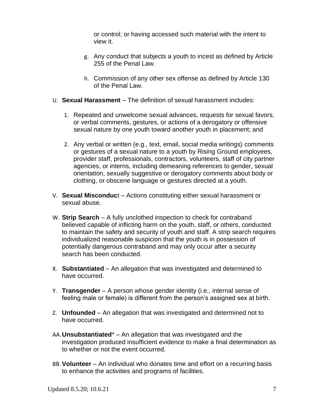or control; or having accessed such material with the intent to view it.

- g. Any conduct that subjects a youth to incest as defined by Article 255 of the Penal Law.
- h. Commission of any other sex offense as defined by Article 130 of the Penal Law.
- U. **Sexual Harassment** The definition of sexual harassment includes:
	- 1. Repeated and unwelcome sexual advances, requests for sexual favors, or verbal comments, gestures, or actions of a derogatory or offensive sexual nature by one youth toward another youth in placement; and
	- 2. Any verbal or written (e.g., text, email, social media writings) comments or gestures of a sexual nature to a youth by Rising Ground employees, provider staff, professionals, contractors, volunteers, staff of city partner agencies, or interns, including demeaning references to gender, sexual orientation, sexually suggestive or derogatory comments about body or clothing, or obscene language or gestures directed at a youth.
- V. **Sexual Misconduc**t Actions constituting either sexual harassment or sexual abuse.
- W. **Strip Search** *–* A fully unclothed inspection to check for contraband believed capable of inflicting harm on the youth, staff, or others, conducted to maintain the safety and security of youth and staff. A strip search requires individualized reasonable suspicion that the youth is in possession of potentially dangerous contraband and may only occur after a security search has been conducted.
- X. **Substantiated** An allegation that was investigated and determined to have occurred.
- Y. **Transgender** A person whose gender identity (i.e., internal sense of feeling male or female) is different from the person's assigned sex at birth.
- Z. **Unfounded** An allegation that was investigated and determined not to have occurred.
- AA.**Unsubstantiated**\* An allegation that was investigated and the investigation produced insufficient evidence to make a final determination as to whether or not the event occurred.
- BB. **Volunteer** An individual who donates time and effort on a recurring basis to enhance the activities and programs of facilities.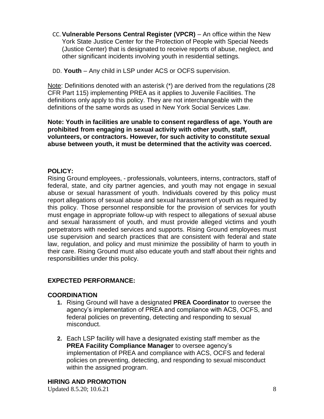CC. **Vulnerable Persons Central Register (VPCR)** – An office within the New York State Justice Center for the Protection of People with Special Needs (Justice Center) that is designated to receive reports of abuse, neglect, and other significant incidents involving youth in residential settings.

DD. **Youth** – Any child in LSP under ACS or OCFS supervision.

Note: Definitions denoted with an asterisk (\*) are derived from the regulations (28 CFR Part 115) implementing PREA as it applies to Juvenile Facilities. The definitions only apply to this policy. They are not interchangeable with the definitions of the same words as used in New York Social Services Law.

#### **Note: Youth in facilities are unable to consent regardless of age. Youth are prohibited from engaging in sexual activity with other youth, staff, volunteers, or contractors. However, for such activity to constitute sexual abuse between youth, it must be determined that the activity was coerced.**

# **POLICY:**

Rising Ground employees, - professionals, volunteers, interns, contractors, staff of federal, state, and city partner agencies, and youth may not engage in sexual abuse or sexual harassment of youth. Individuals covered by this policy must report allegations of sexual abuse and sexual harassment of youth as required by this policy. Those personnel responsible for the provision of services for youth must engage in appropriate follow-up with respect to allegations of sexual abuse and sexual harassment of youth, and must provide alleged victims and youth perpetrators with needed services and supports. Rising Ground employees must use supervision and search practices that are consistent with federal and state law, regulation, and policy and must minimize the possibility of harm to youth in their care. Rising Ground must also educate youth and staff about their rights and responsibilities under this policy.

# **EXPECTED PERFORMANCE:**

# **COORDINATION**

- **1.** Rising Ground will have a designated **PREA Coordinator** to oversee the agency's implementation of PREA and compliance with ACS, OCFS, and federal policies on preventing, detecting and responding to sexual misconduct.
- **2.** Each LSP facility will have a designated existing staff member as the **PREA Facility Compliance Manager** to oversee agency's implementation of PREA and compliance with ACS, OCFS and federal policies on preventing, detecting, and responding to sexual misconduct within the assigned program.

# **HIRING AND PROMOTION**

Updated 8.5.20; 10.6.21 8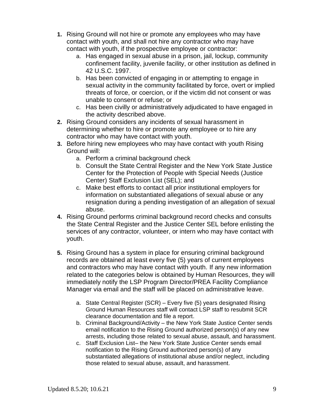- **1.** Rising Ground will not hire or promote any employees who may have contact with youth, and shall not hire any contractor who may have contact with youth, if the prospective employee or contractor:
	- a. Has engaged in sexual abuse in a prison, jail, lockup, community confinement facility, juvenile facility, or other institution as defined in 42 U.S.C. 1997.
	- b. Has been convicted of engaging in or attempting to engage in sexual activity in the community facilitated by force, overt or implied threats of force, or coercion, or if the victim did not consent or was unable to consent or refuse; or
	- c. Has been civilly or administratively adjudicated to have engaged in the activity described above.
- **2.** Rising Ground considers any incidents of sexual harassment in determining whether to hire or promote any employee or to hire any contractor who may have contact with youth.
- **3.** Before hiring new employees who may have contact with youth Rising Ground will:
	- a. Perform a criminal background check
	- b. Consult the State Central Register and the New York State Justice Center for the Protection of People with Special Needs (Justice Center) Staff Exclusion List (SEL); and
	- c. Make best efforts to contact all prior institutional employers for information on substantiated allegations of sexual abuse or any resignation during a pending investigation of an allegation of sexual abuse.
- **4.** Rising Ground performs criminal background record checks and consults the State Central Register and the Justice Center SEL before enlisting the services of any contractor, volunteer, or intern who may have contact with youth.
- **5.** Rising Ground has a system in place for ensuring criminal background records are obtained at least every five (5) years of current employees and contractors who may have contact with youth. If any new information related to the categories below is obtained by Human Resources, they will immediately notify the LSP Program Director/PREA Facility Compliance Manager via email and the staff will be placed on administrative leave.
	- a. State Central Register (SCR) Every five (5) years designated Rising Ground Human Resources staff will contact LSP staff to resubmit SCR clearance documentation and file a report.
	- b. Criminal Background/Activity the New York State Justice Center sends email notification to the Rising Ground authorized person(s) of any new arrests, including those related to sexual abuse, assault, and harassment.
	- c. Staff Exclusion List– the New York State Justice Center sends email notification to the Rising Ground authorized person(s) of any substantiated allegations of institutional abuse and/or neglect, including those related to sexual abuse, assault, and harassment.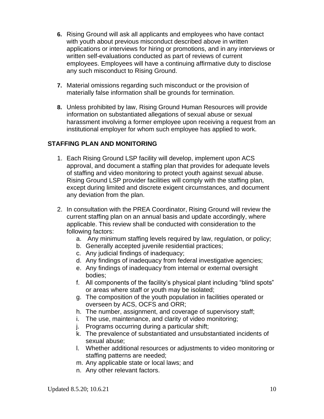- **6.** Rising Ground will ask all applicants and employees who have contact with youth about previous misconduct described above in written applications or interviews for hiring or promotions, and in any interviews or written self-evaluations conducted as part of reviews of current employees. Employees will have a continuing affirmative duty to disclose any such misconduct to Rising Ground.
- **7.** Material omissions regarding such misconduct or the provision of materially false information shall be grounds for termination.
- **8.** Unless prohibited by law, Rising Ground Human Resources will provide information on substantiated allegations of sexual abuse or sexual harassment involving a former employee upon receiving a request from an institutional employer for whom such employee has applied to work.

# **STAFFING PLAN AND MONITORING**

- 1. Each Rising Ground LSP facility will develop, implement upon ACS approval, and document a staffing plan that provides for adequate levels of staffing and video monitoring to protect youth against sexual abuse. Rising Ground LSP provider facilities will comply with the staffing plan, except during limited and discrete exigent circumstances, and document any deviation from the plan.
- 2. In consultation with the PREA Coordinator, Rising Ground will review the current staffing plan on an annual basis and update accordingly, where applicable. This review shall be conducted with consideration to the following factors:
	- a. Any minimum staffing levels required by law, regulation, or policy;
	- b. Generally accepted juvenile residential practices;
	- c. Any judicial findings of inadequacy;
	- d. Any findings of inadequacy from federal investigative agencies;
	- e. Any findings of inadequacy from internal or external oversight bodies;
	- f. All components of the facility's physical plant including "blind spots" or areas where staff or youth may be isolated;
	- g. The composition of the youth population in facilities operated or overseen by ACS, OCFS and ORR;
	- h. The number, assignment, and coverage of supervisory staff;
	- i. The use, maintenance, and clarity of video monitoring;
	- j. Programs occurring during a particular shift;
	- k. The prevalence of substantiated and unsubstantiated incidents of sexual abuse;
	- l. Whether additional resources or adjustments to video monitoring or staffing patterns are needed;
	- m. Any applicable state or local laws; and
	- n. Any other relevant factors.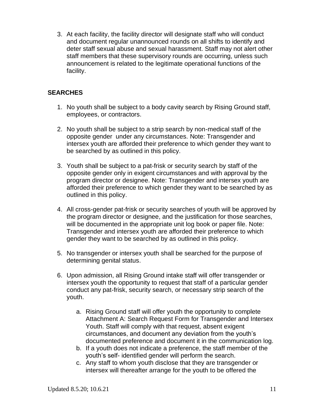3. At each facility, the facility director will designate staff who will conduct and document regular unannounced rounds on all shifts to identify and deter staff sexual abuse and sexual harassment. Staff may not alert other staff members that these supervisory rounds are occurring, unless such announcement is related to the legitimate operational functions of the facility.

# **SEARCHES**

- 1. No youth shall be subject to a body cavity search by Rising Ground staff, employees, or contractors.
- 2. No youth shall be subject to a strip search by non-medical staff of the opposite gender under any circumstances. Note: Transgender and intersex youth are afforded their preference to which gender they want to be searched by as outlined in this policy.
- 3. Youth shall be subject to a pat-frisk or security search by staff of the opposite gender only in exigent circumstances and with approval by the program director or designee. Note: Transgender and intersex youth are afforded their preference to which gender they want to be searched by as outlined in this policy.
- 4. All cross-gender pat-frisk or security searches of youth will be approved by the program director or designee, and the justification for those searches, will be documented in the appropriate unit log book or paper file. Note: Transgender and intersex youth are afforded their preference to which gender they want to be searched by as outlined in this policy.
- 5. No transgender or intersex youth shall be searched for the purpose of determining genital status.
- 6. Upon admission, all Rising Ground intake staff will offer transgender or intersex youth the opportunity to request that staff of a particular gender conduct any pat-frisk, security search, or necessary strip search of the youth.
	- a. Rising Ground staff will offer youth the opportunity to complete Attachment A: Search Request Form for Transgender and Intersex Youth. Staff will comply with that request, absent exigent circumstances, and document any deviation from the youth's documented preference and document it in the communication log.
	- b. If a youth does not indicate a preference, the staff member of the youth's self- identified gender will perform the search.
	- c. Any staff to whom youth disclose that they are transgender or intersex will thereafter arrange for the youth to be offered the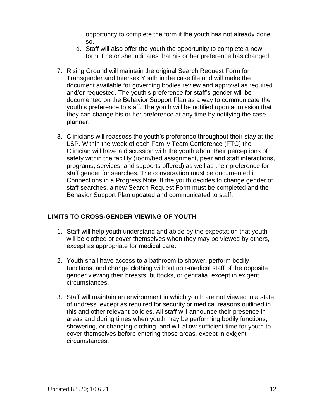opportunity to complete the form if the youth has not already done so.

- d. Staff will also offer the youth the opportunity to complete a new form if he or she indicates that his or her preference has changed.
- 7. Rising Ground will maintain the original Search Request Form for Transgender and Intersex Youth in the case file and will make the document available for governing bodies review and approval as required and/or requested. The youth's preference for staff's gender will be documented on the Behavior Support Plan as a way to communicate the youth's preference to staff. The youth will be notified upon admission that they can change his or her preference at any time by notifying the case planner.
- 8. Clinicians will reassess the youth's preference throughout their stay at the LSP. Within the week of each Family Team Conference (FTC) the Clinician will have a discussion with the youth about their perceptions of safety within the facility (room/bed assignment, peer and staff interactions, programs, services, and supports offered) as well as their preference for staff gender for searches. The conversation must be documented in Connections in a Progress Note. If the youth decides to change gender of staff searches, a new Search Request Form must be completed and the Behavior Support Plan updated and communicated to staff.

# **LIMITS TO CROSS-GENDER VIEWING OF YOUTH**

- 1. Staff will help youth understand and abide by the expectation that youth will be clothed or cover themselves when they may be viewed by others, except as appropriate for medical care.
- 2. Youth shall have access to a bathroom to shower, perform bodily functions, and change clothing without non-medical staff of the opposite gender viewing their breasts, buttocks, or genitalia, except in exigent circumstances.
- 3. Staff will maintain an environment in which youth are not viewed in a state of undress, except as required for security or medical reasons outlined in this and other relevant policies. All staff will announce their presence in areas and during times when youth may be performing bodily functions, showering, or changing clothing, and will allow sufficient time for youth to cover themselves before entering those areas, except in exigent circumstances.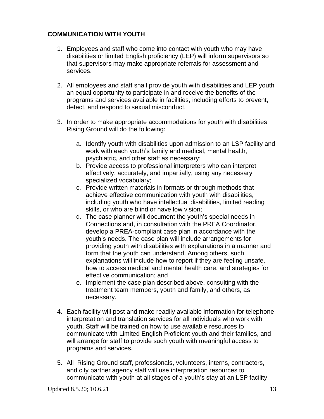# **COMMUNICATION WITH YOUTH**

- 1. Employees and staff who come into contact with youth who may have disabilities or limited English proficiency (LEP) will inform supervisors so that supervisors may make appropriate referrals for assessment and services.
- 2. All employees and staff shall provide youth with disabilities and LEP youth an equal opportunity to participate in and receive the benefits of the programs and services available in facilities, including efforts to prevent, detect, and respond to sexual misconduct.
- 3. In order to make appropriate accommodations for youth with disabilities Rising Ground will do the following:
	- a. Identify youth with disabilities upon admission to an LSP facility and work with each youth's family and medical, mental health, psychiatric, and other staff as necessary;
	- b. Provide access to professional interpreters who can interpret effectively, accurately, and impartially, using any necessary specialized vocabulary;
	- c. Provide written materials in formats or through methods that achieve effective communication with youth with disabilities, including youth who have intellectual disabilities, limited reading skills, or who are blind or have low vision;
	- d. The case planner will document the youth's special needs in Connections and, in consultation with the PREA Coordinator, develop a PREA-compliant case plan in accordance with the youth's needs. The case plan will include arrangements for providing youth with disabilities with explanations in a manner and form that the youth can understand. Among others, such explanations will include how to report if they are feeling unsafe, how to access medical and mental health care, and strategies for effective communication; and
	- e. Implement the case plan described above, consulting with the treatment team members, youth and family, and others, as necessary.
- 4. Each facility will post and make readily available information for telephone interpretation and translation services for all individuals who work with youth. Staff will be trained on how to use available resources to communicate with Limited English Proficient youth and their families, and will arrange for staff to provide such youth with meaningful access to programs and services.
- 5. All Rising Ground staff, professionals, volunteers, interns, contractors, and city partner agency staff will use interpretation resources to communicate with youth at all stages of a youth's stay at an LSP facility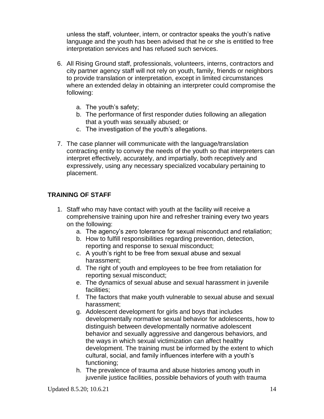unless the staff, volunteer, intern, or contractor speaks the youth's native language and the youth has been advised that he or she is entitled to free interpretation services and has refused such services.

- 6. All Rising Ground staff, professionals, volunteers, interns, contractors and city partner agency staff will not rely on youth, family, friends or neighbors to provide translation or interpretation, except in limited circumstances where an extended delay in obtaining an interpreter could compromise the following:
	- a. The youth's safety;
	- b. The performance of first responder duties following an allegation that a youth was sexually abused; or
	- c. The investigation of the youth's allegations.
- 7. The case planner will communicate with the language/translation contracting entity to convey the needs of the youth so that interpreters can interpret effectively, accurately, and impartially, both receptively and expressively, using any necessary specialized vocabulary pertaining to placement.

# **TRAINING OF STAFF**

- 1. Staff who may have contact with youth at the facility will receive a comprehensive training upon hire and refresher training every two years on the following:
	- a. The agency's zero tolerance for sexual misconduct and retaliation;
	- b. How to fulfill responsibilities regarding prevention, detection, reporting and response to sexual misconduct;
	- c. A youth's right to be free from sexual abuse and sexual harassment;
	- d. The right of youth and employees to be free from retaliation for reporting sexual misconduct;
	- e. The dynamics of sexual abuse and sexual harassment in juvenile facilities;
	- f. The factors that make youth vulnerable to sexual abuse and sexual harassment;
	- g. Adolescent development for girls and boys that includes developmentally normative sexual behavior for adolescents, how to distinguish between developmentally normative adolescent behavior and sexually aggressive and dangerous behaviors, and the ways in which sexual victimization can affect healthy development. The training must be informed by the extent to which cultural, social, and family influences interfere with a youth's functioning;
	- h. The prevalence of trauma and abuse histories among youth in juvenile justice facilities, possible behaviors of youth with trauma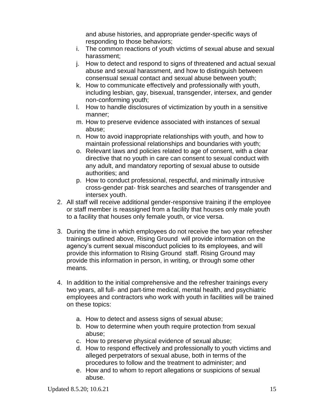and abuse histories, and appropriate gender-specific ways of responding to those behaviors;

- i. The common reactions of youth victims of sexual abuse and sexual harassment;
- j. How to detect and respond to signs of threatened and actual sexual abuse and sexual harassment, and how to distinguish between consensual sexual contact and sexual abuse between youth;
- k. How to communicate effectively and professionally with youth, including lesbian, gay, bisexual, transgender, intersex, and gender non-conforming youth;
- l. How to handle disclosures of victimization by youth in a sensitive manner;
- m. How to preserve evidence associated with instances of sexual abuse;
- n. How to avoid inappropriate relationships with youth, and how to maintain professional relationships and boundaries with youth;
- o. Relevant laws and policies related to age of consent, with a clear directive that no youth in care can consent to sexual conduct with any adult, and mandatory reporting of sexual abuse to outside authorities; and
- p. How to conduct professional, respectful, and minimally intrusive cross-gender pat- frisk searches and searches of transgender and intersex youth.
- 2. All staff will receive additional gender-responsive training if the employee or staff member is reassigned from a facility that houses only male youth to a facility that houses only female youth, or vice versa.
- 3. During the time in which employees do not receive the two year refresher trainings outlined above, Rising Ground will provide information on the agency's current sexual misconduct policies to its employees, and will provide this information to Rising Ground staff. Rising Ground may provide this information in person, in writing, or through some other means.
- 4. In addition to the initial comprehensive and the refresher trainings every two years, all full- and part-time medical, mental health, and psychiatric employees and contractors who work with youth in facilities will be trained on these topics:
	- a. How to detect and assess signs of sexual abuse;
	- b. How to determine when youth require protection from sexual abuse;
	- c. How to preserve physical evidence of sexual abuse;
	- d. How to respond effectively and professionally to youth victims and alleged perpetrators of sexual abuse, both in terms of the procedures to follow and the treatment to administer; and
	- e. How and to whom to report allegations or suspicions of sexual abuse.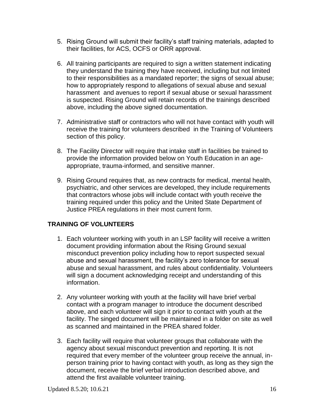- 5. Rising Ground will submit their facility's staff training materials, adapted to their facilities, for ACS, OCFS or ORR approval.
- 6. All training participants are required to sign a written statement indicating they understand the training they have received, including but not limited to their responsibilities as a mandated reporter; the signs of sexual abuse; how to appropriately respond to allegations of sexual abuse and sexual harassment and avenues to report if sexual abuse or sexual harassment is suspected. Rising Ground will retain records of the trainings described above, including the above signed documentation.
- 7. Administrative staff or contractors who will not have contact with youth will receive the training for volunteers described in the Training of Volunteers section of this policy.
- 8. The Facility Director will require that intake staff in facilities be trained to provide the information provided below on Youth Education in an ageappropriate, trauma-informed, and sensitive manner.
- 9. Rising Ground requires that, as new contracts for medical, mental health, psychiatric, and other services are developed, they include requirements that contractors whose jobs will include contact with youth receive the training required under this policy and the United State Department of Justice PREA regulations in their most current form.

# **TRAINING OF VOLUNTEERS**

- 1. Each volunteer working with youth in an LSP facility will receive a written document providing information about the Rising Ground sexual misconduct prevention policy including how to report suspected sexual abuse and sexual harassment, the facility's zero tolerance for sexual abuse and sexual harassment, and rules about confidentiality. Volunteers will sign a document acknowledging receipt and understanding of this information.
- 2. Any volunteer working with youth at the facility will have brief verbal contact with a program manager to introduce the document described above, and each volunteer will sign it prior to contact with youth at the facility. The singed document will be maintained in a folder on site as well as scanned and maintained in the PREA shared folder.
- 3. Each facility will require that volunteer groups that collaborate with the agency about sexual misconduct prevention and reporting. It is not required that every member of the volunteer group receive the annual, inperson training prior to having contact with youth, as long as they sign the document, receive the brief verbal introduction described above, and attend the first available volunteer training.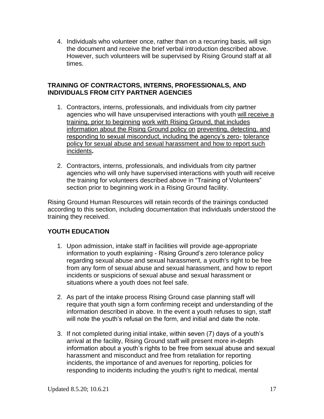4. Individuals who volunteer once, rather than on a recurring basis, will sign the document and receive the brief verbal introduction described above. However, such volunteers will be supervised by Rising Ground staff at all times.

# **TRAINING OF CONTRACTORS, INTERNS, PROFESSIONALS, AND INDIVIDUALS FROM CITY PARTNER AGENCIES**

- 1. Contractors, interns, professionals, and individuals from city partner agencies who will have unsupervised interactions with youth will receive a training, prior to beginning work with Rising Ground, that includes information about the Rising Ground policy on preventing, detecting, and responding to sexual misconduct, including the agency's zero- tolerance policy for sexual abuse and sexual harassment and how to report such incidents**.**
- 2. Contractors, interns, professionals, and individuals from city partner agencies who will only have supervised interactions with youth will receive the training for volunteers described above in "Training of Volunteers" section prior to beginning work in a Rising Ground facility.

Rising Ground Human Resources will retain records of the trainings conducted according to this section, including documentation that individuals understood the training they received.

# **YOUTH EDUCATION**

- 1. Upon admission, intake staff in facilities will provide age-appropriate information to youth explaining - Rising Ground's zero tolerance policy regarding sexual abuse and sexual harassment, a youth's right to be free from any form of sexual abuse and sexual harassment, and how to report incidents or suspicions of sexual abuse and sexual harassment or situations where a youth does not feel safe.
- 2. As part of the intake process Rising Ground case planning staff will require that youth sign a form confirming receipt and understanding of the information described in above. In the event a youth refuses to sign, staff will note the youth's refusal on the form, and initial and date the note.
- 3. If not completed during initial intake, within seven (7) days of a youth's arrival at the facility, Rising Ground staff will present more in-depth information about a youth's rights to be free from sexual abuse and sexual harassment and misconduct and free from retaliation for reporting incidents, the importance of and avenues for reporting, policies for responding to incidents including the youth's right to medical, mental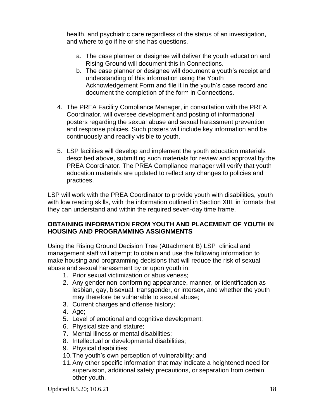health, and psychiatric care regardless of the status of an investigation, and where to go if he or she has questions.

- a. The case planner or designee will deliver the youth education and Rising Ground will document this in Connections.
- b. The case planner or designee will document a youth's receipt and understanding of this information using the Youth Acknowledgement Form and file it in the youth's case record and document the completion of the form in Connections.
- 4. The PREA Facility Compliance Manager, in consultation with the PREA Coordinator, will oversee development and posting of informational posters regarding the sexual abuse and sexual harassment prevention and response policies. Such posters will include key information and be continuously and readily visible to youth.
- 5. LSP facilities will develop and implement the youth education materials described above, submitting such materials for review and approval by the PREA Coordinator. The PREA Compliance manager will verify that youth education materials are updated to reflect any changes to policies and practices.

LSP will work with the PREA Coordinator to provide youth with disabilities, youth with low reading skills, with the information outlined in Section XIII. in formats that they can understand and within the required seven-day time frame.

# **OBTAINING INFORMATION FROM YOUTH AND PLACEMENT OF YOUTH IN HOUSING AND PROGRAMMING ASSIGNMENTS**

Using the Rising Ground Decision Tree (Attachment B) LSP clinical and management staff will attempt to obtain and use the following information to make housing and programming decisions that will reduce the risk of sexual abuse and sexual harassment by or upon youth in:

- 1. Prior sexual victimization or abusiveness;
- 2. Any gender non-conforming appearance, manner, or identification as lesbian, gay, bisexual, transgender, or intersex, and whether the youth may therefore be vulnerable to sexual abuse;
- 3. Current charges and offense history;
- 4. Age;
- 5. Level of emotional and cognitive development;
- 6. Physical size and stature;
- 7. Mental illness or mental disabilities;
- 8. Intellectual or developmental disabilities;
- 9. Physical disabilities;
- 10.The youth's own perception of vulnerability; and
- 11.Any other specific information that may indicate a heightened need for supervision, additional safety precautions, or separation from certain other youth.

Updated 8.5.20; 10.6.21 18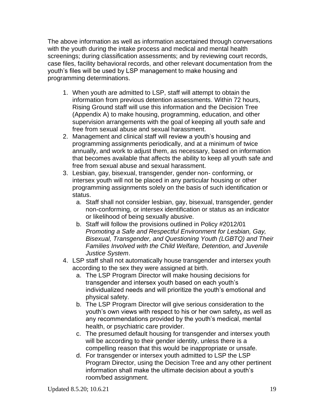The above information as well as information ascertained through conversations with the youth during the intake process and medical and mental health screenings; during classification assessments; and by reviewing court records, case files, facility behavioral records, and other relevant documentation from the youth's files will be used by LSP management to make housing and programming determinations.

- 1. When youth are admitted to LSP, staff will attempt to obtain the information from previous detention assessments. Within 72 hours, Rising Ground staff will use this information and the Decision Tree (Appendix A) to make housing, programming, education, and other supervision arrangements with the goal of keeping all youth safe and free from sexual abuse and sexual harassment.
- 2. Management and clinical staff will review a youth's housing and programming assignments periodically, and at a minimum of twice annually, and work to adjust them, as necessary, based on information that becomes available that affects the ability to keep all youth safe and free from sexual abuse and sexual harassment.
- 3. Lesbian, gay, bisexual, transgender, gender non- conforming, or intersex youth will not be placed in any particular housing or other programming assignments solely on the basis of such identification or status.
	- a. Staff shall not consider lesbian, gay, bisexual, transgender, gender non-conforming, or intersex identification or status as an indicator or likelihood of being sexually abusive.
	- b. Staff will follow the provisions outlined in Policy #2012/01 *Promoting a Safe and Respectful Environment for Lesbian, Gay, Bisexual, Transgender, and Questioning Youth (LGBTQ) and Their Families Involved with the Child Welfare, Detention, and Juvenile Justice System*.
- 4. LSP staff shall not automatically house transgender and intersex youth according to the sex they were assigned at birth.
	- a. The LSP Program Director will make housing decisions for transgender and intersex youth based on each youth's individualized needs and will prioritize the youth's emotional and physical safety.
	- b. The LSP Program Director will give serious consideration to the youth's own views with respect to his or her own safety**,** as well as any recommendations provided by the youth's medical, mental health, or psychiatric care provider.
	- c. The presumed default housing for transgender and intersex youth will be according to their gender identity, unless there is a compelling reason that this would be inappropriate or unsafe.
	- d. For transgender or intersex youth admitted to LSP the LSP Program Director, using the Decision Tree and any other pertinent information shall make the ultimate decision about a youth's room/bed assignment.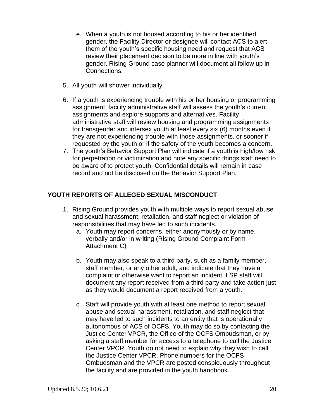- e. When a youth is not housed according to his or her identified gender, the Facility Director or designee will contact ACS to alert them of the youth's specific housing need and request that ACS review their placement decision to be more in line with youth's gender. Rising Ground case planner will document all follow up in Connections.
- 5. All youth will shower individually.
- 6. If a youth is experiencing trouble with his or her housing or programming assignment, facility administrative staff will assess the youth's current assignments and explore supports and alternatives. Facility administrative staff will review housing and programming assignments for transgender and intersex youth at least every six (6) months even if they are not experiencing trouble with those assignments, or sooner if requested by the youth or if the safety of the youth becomes a concern.
- 7. The youth's Behavior Support Plan will indicate if a youth is high/low risk for perpetration or victimization and note any specific things staff need to be aware of to protect youth. Confidential details will remain in case record and not be disclosed on the Behavior Support Plan.

# **YOUTH REPORTS OF ALLEGED SEXUAL MISCONDUCT**

- 1. Rising Ground provides youth with multiple ways to report sexual abuse and sexual harassment, retaliation, and staff neglect or violation of responsibilities that may have led to such incidents.
	- a. Youth may report concerns, either anonymously or by name, verbally and/or in writing (Rising Ground Complaint Form – Attachment C)
	- b. Youth may also speak to a third party, such as a family member, staff member, or any other adult, and indicate that they have a complaint or otherwise want to report an incident. LSP staff will document any report received from a third party and take action just as they would document a report received from a youth.
	- c. Staff will provide youth with at least one method to report sexual abuse and sexual harassment, retaliation, and staff neglect that may have led to such incidents to an entity that is operationally autonomous of ACS of OCFS. Youth may do so by contacting the Justice Center VPCR, the Office of the OCFS Ombudsman, or by asking a staff member for access to a telephone to call the Justice Center VPCR. Youth do not need to explain why they wish to call the Justice Center VPCR. Phone numbers for the OCFS Ombudsman and the VPCR are posted conspicuously throughout the facility and are provided in the youth handbook.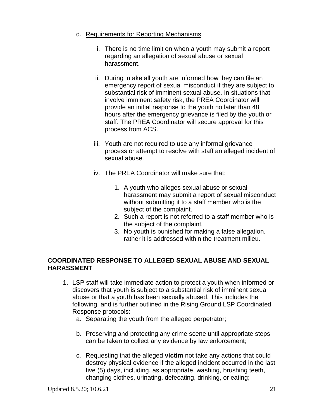#### d. Requirements for Reporting Mechanisms

- i. There is no time limit on when a youth may submit a report regarding an allegation of sexual abuse or sexual harassment.
- ii. During intake all youth are informed how they can file an emergency report of sexual misconduct if they are subject to substantial risk of imminent sexual abuse. In situations that involve imminent safety risk, the PREA Coordinator will provide an initial response to the youth no later than 48 hours after the emergency grievance is filed by the youth or staff. The PREA Coordinator will secure approval for this process from ACS.
- iii. Youth are not required to use any informal grievance process or attempt to resolve with staff an alleged incident of sexual abuse.
- iv. The PREA Coordinator will make sure that:
	- 1. A youth who alleges sexual abuse or sexual harassment may submit a report of sexual misconduct without submitting it to a staff member who is the subject of the complaint.
	- 2. Such a report is not referred to a staff member who is the subject of the complaint.
	- 3. No youth is punished for making a false allegation, rather it is addressed within the treatment milieu.

# **COORDINATED RESPONSE TO ALLEGED SEXUAL ABUSE AND SEXUAL HARASSMENT**

- 1. LSP staff will take immediate action to protect a youth when informed or discovers that youth is subject to a substantial risk of imminent sexual abuse or that a youth has been sexually abused. This includes the following, and is further outlined in the Rising Ground LSP Coordinated Response protocols:
	- a. Separating the youth from the alleged perpetrator;
	- b. Preserving and protecting any crime scene until appropriate steps can be taken to collect any evidence by law enforcement;
	- c. Requesting that the alleged **victim** not take any actions that could destroy physical evidence if the alleged incident occurred in the last five (5) days, including, as appropriate, washing, brushing teeth, changing clothes, urinating, defecating, drinking, or eating;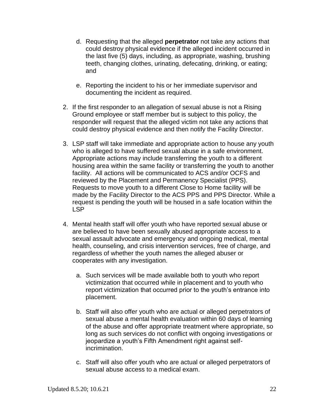- d. Requesting that the alleged **perpetrator** not take any actions that could destroy physical evidence if the alleged incident occurred in the last five (5) days, including, as appropriate, washing, brushing teeth, changing clothes, urinating, defecating, drinking, or eating; and
- e. Reporting the incident to his or her immediate supervisor and documenting the incident as required.
- 2. If the first responder to an allegation of sexual abuse is not a Rising Ground employee or staff member but is subject to this policy, the responder will request that the alleged victim not take any actions that could destroy physical evidence and then notify the Facility Director.
- 3. LSP staff will take immediate and appropriate action to house any youth who is alleged to have suffered sexual abuse in a safe environment. Appropriate actions may include transferring the youth to a different housing area within the same facility or transferring the youth to another facility. All actions will be communicated to ACS and/or OCFS and reviewed by the Placement and Permanency Specialist (PPS). Requests to move youth to a different Close to Home facility will be made by the Facility Director to the ACS PPS and PPS Director. While a request is pending the youth will be housed in a safe location within the LSP
- 4. Mental health staff will offer youth who have reported sexual abuse or are believed to have been sexually abused appropriate access to a sexual assault advocate and emergency and ongoing medical, mental health, counseling, and crisis intervention services, free of charge, and regardless of whether the youth names the alleged abuser or cooperates with any investigation.
	- a. Such services will be made available both to youth who report victimization that occurred while in placement and to youth who report victimization that occurred prior to the youth's entrance into placement.
	- b. Staff will also offer youth who are actual or alleged perpetrators of sexual abuse a mental health evaluation within 60 days of learning of the abuse and offer appropriate treatment where appropriate, so long as such services do not conflict with ongoing investigations or jeopardize a youth's Fifth Amendment right against selfincrimination.
	- c. Staff will also offer youth who are actual or alleged perpetrators of sexual abuse access to a medical exam.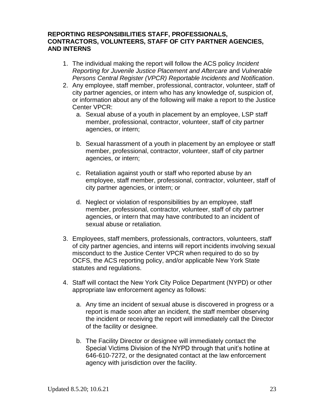#### **REPORTING RESPONSIBILITIES STAFF, PROFESSIONALS, CONTRACTORS, VOLUNTEERS, STAFF OF CITY PARTNER AGENCIES, AND INTERNS**

- 1. The individual making the report will follow the ACS policy *Incident Reporting for Juvenile Justice Placement and Aftercare* and *Vulnerable Persons Central Register (VPCR) Reportable Incidents and Notification*.
- 2. Any employee, staff member, professional, contractor, volunteer, staff of city partner agencies, or intern who has any knowledge of, suspicion of, or information about any of the following will make a report to the Justice Center VPCR:
	- a. Sexual abuse of a youth in placement by an employee, LSP staff member, professional, contractor, volunteer, staff of city partner agencies, or intern;
	- b. Sexual harassment of a youth in placement by an employee or staff member, professional, contractor, volunteer, staff of city partner agencies, or intern;
	- c. Retaliation against youth or staff who reported abuse by an employee, staff member, professional, contractor, volunteer, staff of city partner agencies, or intern; or
	- d. Neglect or violation of responsibilities by an employee, staff member, professional, contractor, volunteer, staff of city partner agencies, or intern that may have contributed to an incident of sexual abuse or retaliation.
- 3. Employees, staff members, professionals, contractors, volunteers, staff of city partner agencies, and interns will report incidents involving sexual misconduct to the Justice Center VPCR when required to do so by OCFS, the ACS reporting policy, and/or applicable New York State statutes and regulations.
- 4. Staff will contact the New York City Police Department (NYPD) or other appropriate law enforcement agency as follows:
	- a. Any time an incident of sexual abuse is discovered in progress or a report is made soon after an incident, the staff member observing the incident or receiving the report will immediately call the Director of the facility or designee.
	- b. The Facility Director or designee will immediately contact the Special Victims Division of the NYPD through that unit's hotline at 646-610-7272, or the designated contact at the law enforcement agency with jurisdiction over the facility.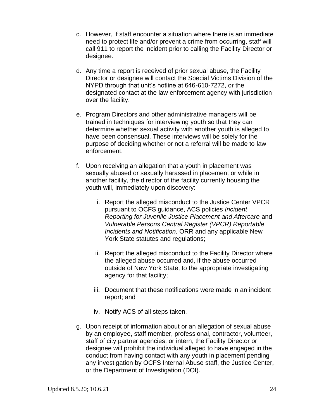- c. However, if staff encounter a situation where there is an immediate need to protect life and/or prevent a crime from occurring, staff will call 911 to report the incident prior to calling the Facility Director or designee.
- d. Any time a report is received of prior sexual abuse, the Facility Director or designee will contact the Special Victims Division of the NYPD through that unit's hotline at 646-610-7272, or the designated contact at the law enforcement agency with jurisdiction over the facility.
- e. Program Directors and other administrative managers will be trained in techniques for interviewing youth so that they can determine whether sexual activity with another youth is alleged to have been consensual. These interviews will be solely for the purpose of deciding whether or not a referral will be made to law enforcement.
- f. Upon receiving an allegation that a youth in placement was sexually abused or sexually harassed in placement or while in another facility, the director of the facility currently housing the youth will, immediately upon discovery:
	- i. Report the alleged misconduct to the Justice Center VPCR pursuant to OCFS guidance, ACS policies *Incident Reporting for Juvenile Justice Placement and Aftercare* and *Vulnerable Persons Central Register (VPCR) Reportable Incidents and Notification*, ORR and any applicable New York State statutes and regulations;
	- ii. Report the alleged misconduct to the Facility Director where the alleged abuse occurred and, if the abuse occurred outside of New York State, to the appropriate investigating agency for that facility;
	- iii. Document that these notifications were made in an incident report; and
	- iv. Notify ACS of all steps taken.
- g. Upon receipt of information about or an allegation of sexual abuse by an employee, staff member, professional, contractor, volunteer, staff of city partner agencies, or intern, the Facility Director or designee will prohibit the individual alleged to have engaged in the conduct from having contact with any youth in placement pending any investigation by OCFS Internal Abuse staff, the Justice Center, or the Department of Investigation (DOI).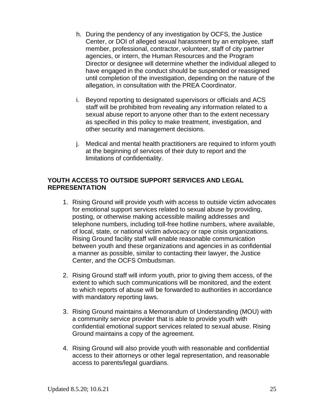- h. During the pendency of any investigation by OCFS, the Justice Center, or DOI of alleged sexual harassment by an employee, staff member, professional, contractor, volunteer, staff of city partner agencies, or intern, the Human Resources and the Program Director or designee will determine whether the individual alleged to have engaged in the conduct should be suspended or reassigned until completion of the investigation, depending on the nature of the allegation, in consultation with the PREA Coordinator.
- i. Beyond reporting to designated supervisors or officials and ACS staff will be prohibited from revealing any information related to a sexual abuse report to anyone other than to the extent necessary as specified in this policy to make treatment, investigation, and other security and management decisions.
- j. Medical and mental health practitioners are required to inform youth at the beginning of services of their duty to report and the limitations of confidentiality.

#### **YOUTH ACCESS TO OUTSIDE SUPPORT SERVICES AND LEGAL REPRESENTATION**

- 1. Rising Ground will provide youth with access to outside victim advocates for emotional support services related to sexual abuse by providing, posting, or otherwise making accessible mailing addresses and telephone numbers, including toll-free hotline numbers, where available, of local, state, or national victim advocacy or rape crisis organizations. Rising Ground facility staff will enable reasonable communication between youth and these organizations and agencies in as confidential a manner as possible, similar to contacting their lawyer, the Justice Center, and the OCFS Ombudsman.
- 2. Rising Ground staff will inform youth, prior to giving them access, of the extent to which such communications will be monitored, and the extent to which reports of abuse will be forwarded to authorities in accordance with mandatory reporting laws.
- 3. Rising Ground maintains a Memorandum of Understanding (MOU) with a community service provider that is able to provide youth with confidential emotional support services related to sexual abuse. Rising Ground maintains a copy of the agreement.
- 4. Rising Ground will also provide youth with reasonable and confidential access to their attorneys or other legal representation, and reasonable access to parents/legal guardians.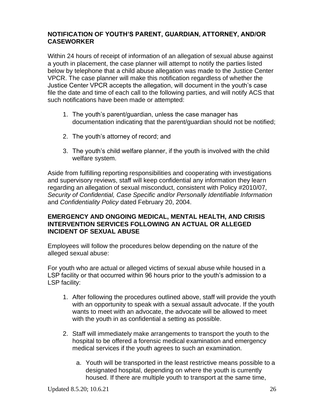# **NOTIFICATION OF YOUTH'S PARENT, GUARDIAN, ATTORNEY, AND/OR CASEWORKER**

Within 24 hours of receipt of information of an allegation of sexual abuse against a youth in placement, the case planner will attempt to notify the parties listed below by telephone that a child abuse allegation was made to the Justice Center VPCR. The case planner will make this notification regardless of whether the Justice Center VPCR accepts the allegation, will document in the youth's case file the date and time of each call to the following parties, and will notify ACS that such notifications have been made or attempted:

- 1. The youth's parent/guardian, unless the case manager has documentation indicating that the parent/guardian should not be notified;
- 2. The youth's attorney of record; and
- 3. The youth's child welfare planner, if the youth is involved with the child welfare system.

Aside from fulfilling reporting responsibilities and cooperating with investigations and supervisory reviews, staff will keep confidential any information they learn regarding an allegation of sexual misconduct, consistent with Policy #2010/07, *Security of Confidential, Case Specific and/or Personally Identifiable Information*  and *Confidentiality Policy* dated February 20, 2004.

#### **EMERGENCY AND ONGOING MEDICAL, MENTAL HEALTH, AND CRISIS INTERVENTION SERVICES FOLLOWING AN ACTUAL OR ALLEGED INCIDENT OF SEXUAL ABUSE**

Employees will follow the procedures below depending on the nature of the alleged sexual abuse:

For youth who are actual or alleged victims of sexual abuse while housed in a LSP facility or that occurred within 96 hours prior to the youth's admission to a LSP facility:

- 1. After following the procedures outlined above, staff will provide the youth with an opportunity to speak with a sexual assault advocate. If the youth wants to meet with an advocate, the advocate will be allowed to meet with the youth in as confidential a setting as possible.
- 2. Staff will immediately make arrangements to transport the youth to the hospital to be offered a forensic medical examination and emergency medical services if the youth agrees to such an examination.
	- a. Youth will be transported in the least restrictive means possible to a designated hospital, depending on where the youth is currently housed. If there are multiple youth to transport at the same time,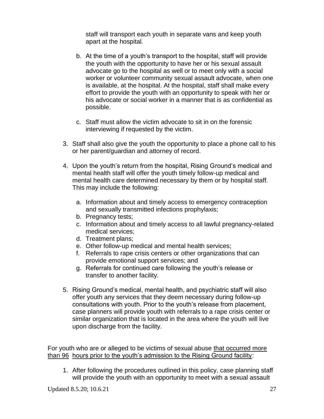staff will transport each youth in separate vans and keep youth apart at the hospital.

- b. At the time of a youth's transport to the hospital, staff will provide the youth with the opportunity to have her or his sexual assault advocate go to the hospital as well or to meet only with a social worker or volunteer community sexual assault advocate, when one is available, at the hospital. At the hospital, staff shall make every effort to provide the youth with an opportunity to speak with her or his advocate or social worker in a manner that is as confidential as possible.
- c. Staff must allow the victim advocate to sit in on the forensic interviewing if requested by the victim.
- 3. Staff shall also give the youth the opportunity to place a phone call to his or her parent/guardian and attorney of record.
- 4. Upon the youth's return from the hospital, Rising Ground's medical and mental health staff will offer the youth timely follow-up medical and mental health care determined necessary by them or by hospital staff. This may include the following:
	- a. Information about and timely access to emergency contraception and sexually transmitted infections prophylaxis;
	- b. Pregnancy tests;
	- c. Information about and timely access to all lawful pregnancy-related medical services;
	- d. Treatment plans;
	- e. Other follow-up medical and mental health services;
	- f. Referrals to rape crisis centers or other organizations that can provide emotional support services; and
	- g. Referrals for continued care following the youth's release or transfer to another facility.
- 5. Rising Ground's medical, mental health, and psychiatric staff will also offer youth any services that they deem necessary during follow-up consultations with youth. Prior to the youth's release from placement, case planners will provide youth with referrals to a rape crisis center or similar organization that is located in the area where the youth will live upon discharge from the facility.

For youth who are or alleged to be victims of sexual abuse that occurred more than 96 hours prior to the youth's admission to the Rising Ground facility:

1. After following the procedures outlined in this policy, case planning staff will provide the youth with an opportunity to meet with a sexual assault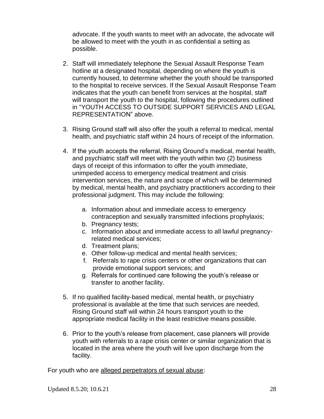advocate. If the youth wants to meet with an advocate, the advocate will be allowed to meet with the youth in as confidential a setting as possible.

- 2. Staff will immediately telephone the Sexual Assault Response Team hotline at a designated hospital, depending on where the youth is currently housed, to determine whether the youth should be transported to the hospital to receive services. If the Sexual Assault Response Team indicates that the youth can benefit from services at the hospital, staff will transport the youth to the hospital, following the procedures outlined in "YOUTH ACCESS TO OUTSIDE SUPPORT SERVICES AND LEGAL REPRESENTATION" above.
- 3. Rising Ground staff will also offer the youth a referral to medical, mental health, and psychiatric staff within 24 hours of receipt of the information.
- 4. If the youth accepts the referral, Rising Ground's medical, mental health, and psychiatric staff will meet with the youth within two (2) business days of receipt of this information to offer the youth immediate, unimpeded access to emergency medical treatment and crisis intervention services, the nature and scope of which will be determined by medical, mental health, and psychiatry practitioners according to their professional judgment. This may include the following:
	- a. Information about and immediate access to emergency contraception and sexually transmitted infections prophylaxis;
	- b. Pregnancy tests;
	- c. Information about and immediate access to all lawful pregnancyrelated medical services;
	- d. Treatment plans;
	- e. Other follow-up medical and mental health services;
	- f. Referrals to rape crisis centers or other organizations that can provide emotional support services; and
	- g. Referrals for continued care following the youth's release or transfer to another facility.
- 5. If no qualified facility-based medical, mental health, or psychiatry professional is available at the time that such services are needed, Rising Ground staff will within 24 hours transport youth to the appropriate medical facility in the least restrictive means possible.
- 6. Prior to the youth's release from placement, case planners will provide youth with referrals to a rape crisis center or similar organization that is located in the area where the youth will live upon discharge from the facility.

For youth who are alleged perpetrators of sexual abuse: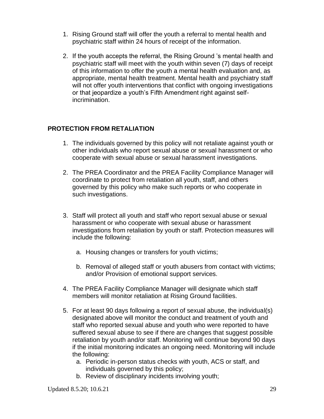- 1. Rising Ground staff will offer the youth a referral to mental health and psychiatric staff within 24 hours of receipt of the information.
- 2. If the youth accepts the referral, the Rising Ground 's mental health and psychiatric staff will meet with the youth within seven (7) days of receipt of this information to offer the youth a mental health evaluation and, as appropriate, mental health treatment. Mental health and psychiatry staff will not offer youth interventions that conflict with ongoing investigations or that jeopardize a youth's Fifth Amendment right against selfincrimination.

# **PROTECTION FROM RETALIATION**

- 1. The individuals governed by this policy will not retaliate against youth or other individuals who report sexual abuse or sexual harassment or who cooperate with sexual abuse or sexual harassment investigations.
- 2. The PREA Coordinator and the PREA Facility Compliance Manager will coordinate to protect from retaliation all youth, staff, and others governed by this policy who make such reports or who cooperate in such investigations.
- 3. Staff will protect all youth and staff who report sexual abuse or sexual harassment or who cooperate with sexual abuse or harassment investigations from retaliation by youth or staff. Protection measures will include the following:
	- a. Housing changes or transfers for youth victims;
	- b. Removal of alleged staff or youth abusers from contact with victims; and/or Provision of emotional support services.
- 4. The PREA Facility Compliance Manager will designate which staff members will monitor retaliation at Rising Ground facilities.
- 5. For at least 90 days following a report of sexual abuse, the individual(s) designated above will monitor the conduct and treatment of youth and staff who reported sexual abuse and youth who were reported to have suffered sexual abuse to see if there are changes that suggest possible retaliation by youth and/or staff. Monitoring will continue beyond 90 days if the initial monitoring indicates an ongoing need. Monitoring will include the following:
	- a. Periodic in-person status checks with youth, ACS or staff, and individuals governed by this policy;
	- b. Review of disciplinary incidents involving youth;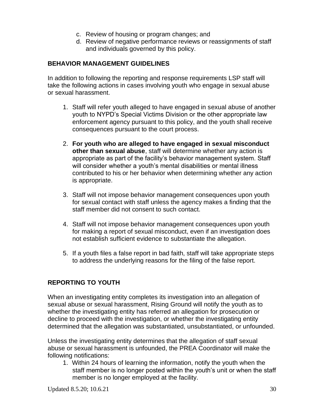- c. Review of housing or program changes; and
- d. Review of negative performance reviews or reassignments of staff and individuals governed by this policy.

# **BEHAVIOR MANAGEMENT GUIDELINES**

In addition to following the reporting and response requirements LSP staff will take the following actions in cases involving youth who engage in sexual abuse or sexual harassment.

- 1. Staff will refer youth alleged to have engaged in sexual abuse of another youth to NYPD's Special Victims Division or the other appropriate law enforcement agency pursuant to this policy, and the youth shall receive consequences pursuant to the court process.
- 2. **For youth who are alleged to have engaged in sexual misconduct other than sexual abuse**, staff will determine whether any action is appropriate as part of the facility's behavior management system. Staff will consider whether a youth's mental disabilities or mental illness contributed to his or her behavior when determining whether any action is appropriate.
- 3. Staff will not impose behavior management consequences upon youth for sexual contact with staff unless the agency makes a finding that the staff member did not consent to such contact.
- 4. Staff will not impose behavior management consequences upon youth for making a report of sexual misconduct, even if an investigation does not establish sufficient evidence to substantiate the allegation.
- 5. If a youth files a false report in bad faith, staff will take appropriate steps to address the underlying reasons for the filing of the false report.

# **REPORTING TO YOUTH**

When an investigating entity completes its investigation into an allegation of sexual abuse or sexual harassment, Rising Ground will notify the youth as to whether the investigating entity has referred an allegation for prosecution or decline to proceed with the investigation, or whether the investigating entity determined that the allegation was substantiated, unsubstantiated, or unfounded.

Unless the investigating entity determines that the allegation of staff sexual abuse or sexual harassment is unfounded, the PREA Coordinator will make the following notifications:

1. Within 24 hours of learning the information, notify the youth when the staff member is no longer posted within the youth's unit or when the staff member is no longer employed at the facility.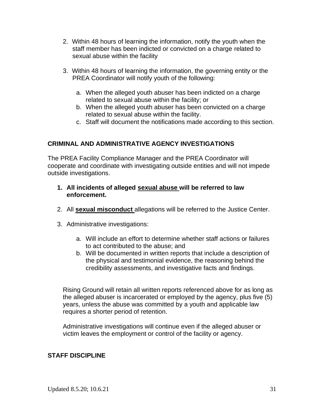- 2. Within 48 hours of learning the information, notify the youth when the staff member has been indicted or convicted on a charge related to sexual abuse within the facility
- 3. Within 48 hours of learning the information, the governing entity or the PREA Coordinator will notify youth of the following:
	- a. When the alleged youth abuser has been indicted on a charge related to sexual abuse within the facility; or
	- b. When the alleged youth abuser has been convicted on a charge related to sexual abuse within the facility.
	- c. Staff will document the notifications made according to this section.

# **CRIMINAL AND ADMINISTRATIVE AGENCY INVESTIGATIONS**

The PREA Facility Compliance Manager and the PREA Coordinator will cooperate and coordinate with investigating outside entities and will not impede outside investigations.

- **1. All incidents of alleged sexual abuse will be referred to law enforcement.**
- 2. All **sexual misconduct** allegations will be referred to the Justice Center.
- 3. Administrative investigations:
	- a. Will include an effort to determine whether staff actions or failures to act contributed to the abuse; and
	- b. Will be documented in written reports that include a description of the physical and testimonial evidence, the reasoning behind the credibility assessments, and investigative facts and findings.

Rising Ground will retain all written reports referenced above for as long as the alleged abuser is incarcerated or employed by the agency, plus five (5) years, unless the abuse was committed by a youth and applicable law requires a shorter period of retention.

Administrative investigations will continue even if the alleged abuser or victim leaves the employment or control of the facility or agency.

# **STAFF DISCIPLINE**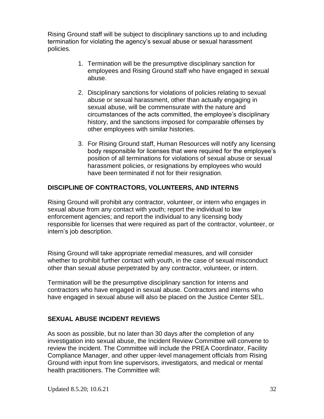Rising Ground staff will be subject to disciplinary sanctions up to and including termination for violating the agency's sexual abuse or sexual harassment policies.

- 1. Termination will be the presumptive disciplinary sanction for employees and Rising Ground staff who have engaged in sexual abuse.
- 2. Disciplinary sanctions for violations of policies relating to sexual abuse or sexual harassment, other than actually engaging in sexual abuse, will be commensurate with the nature and circumstances of the acts committed, the employee's disciplinary history, and the sanctions imposed for comparable offenses by other employees with similar histories.
- 3. For Rising Ground staff, Human Resources will notify any licensing body responsible for licenses that were required for the employee's position of all terminations for violations of sexual abuse or sexual harassment policies, or resignations by employees who would have been terminated if not for their resignation.

# **DISCIPLINE OF CONTRACTORS, VOLUNTEERS, AND INTERNS**

Rising Ground will prohibit any contractor, volunteer, or intern who engages in sexual abuse from any contact with youth; report the individual to law enforcement agencies; and report the individual to any licensing body responsible for licenses that were required as part of the contractor, volunteer, or intern's job description.

Rising Ground will take appropriate remedial measures, and will consider whether to prohibit further contact with youth, in the case of sexual misconduct other than sexual abuse perpetrated by any contractor, volunteer, or intern.

Termination will be the presumptive disciplinary sanction for interns and contractors who have engaged in sexual abuse. Contractors and interns who have engaged in sexual abuse will also be placed on the Justice Center SEL.

# **SEXUAL ABUSE INCIDENT REVIEWS**

As soon as possible, but no later than 30 days after the completion of any investigation into sexual abuse, the Incident Review Committee will convene to review the incident. The Committee will include the PREA Coordinator, Facility Compliance Manager, and other upper-level management officials from Rising Ground with input from line supervisors, investigators, and medical or mental health practitioners. The Committee will: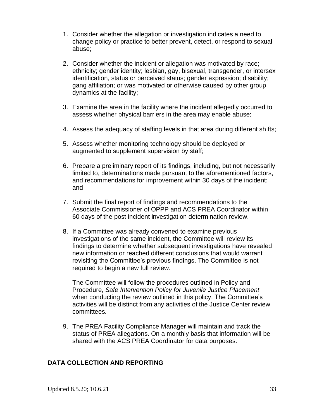- 1. Consider whether the allegation or investigation indicates a need to change policy or practice to better prevent, detect, or respond to sexual abuse;
- 2. Consider whether the incident or allegation was motivated by race; ethnicity; gender identity; lesbian, gay, bisexual, transgender, or intersex identification, status or perceived status; gender expression; disability; gang affiliation; or was motivated or otherwise caused by other group dynamics at the facility;
- 3. Examine the area in the facility where the incident allegedly occurred to assess whether physical barriers in the area may enable abuse;
- 4. Assess the adequacy of staffing levels in that area during different shifts;
- 5. Assess whether monitoring technology should be deployed or augmented to supplement supervision by staff;
- 6. Prepare a preliminary report of its findings, including, but not necessarily limited to, determinations made pursuant to the aforementioned factors, and recommendations for improvement within 30 days of the incident; and
- 7. Submit the final report of findings and recommendations to the Associate Commissioner of OPPP and ACS PREA Coordinator within 60 days of the post incident investigation determination review.
- 8. If a Committee was already convened to examine previous investigations of the same incident, the Committee will review its findings to determine whether subsequent investigations have revealed new information or reached different conclusions that would warrant revisiting the Committee's previous findings. The Committee is not required to begin a new full review.

The Committee will follow the procedures outlined in Policy and Procedure, *Safe Intervention Policy for Juvenile Justice Placement*  when conducting the review outlined in this policy. The Committee's activities will be distinct from any activities of the Justice Center review committees.

9. The PREA Facility Compliance Manager will maintain and track the status of PREA allegations. On a monthly basis that information will be shared with the ACS PREA Coordinator for data purposes.

# **DATA COLLECTION AND REPORTING**

Updated 8.5.20; 10.6.21 33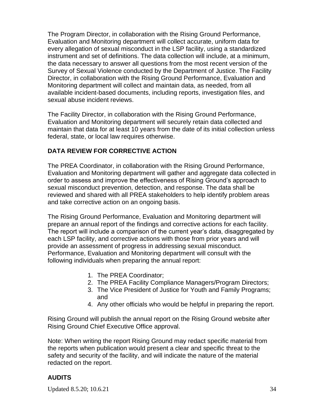The Program Director, in collaboration with the Rising Ground Performance, Evaluation and Monitoring department will collect accurate, uniform data for every allegation of sexual misconduct in the LSP facility, using a standardized instrument and set of definitions. The data collection will include, at a minimum, the data necessary to answer all questions from the most recent version of the Survey of Sexual Violence conducted by the Department of Justice. The Facility Director, in collaboration with the Rising Ground Performance, Evaluation and Monitoring department will collect and maintain data, as needed, from all available incident-based documents, including reports, investigation files, and sexual abuse incident reviews.

The Facility Director, in collaboration with the Rising Ground Performance, Evaluation and Monitoring department will securely retain data collected and maintain that data for at least 10 years from the date of its initial collection unless federal, state, or local law requires otherwise.

# **DATA REVIEW FOR CORRECTIVE ACTION**

The PREA Coordinator, in collaboration with the Rising Ground Performance, Evaluation and Monitoring department will gather and aggregate data collected in order to assess and improve the effectiveness of Rising Ground's approach to sexual misconduct prevention, detection, and response. The data shall be reviewed and shared with all PREA stakeholders to help identify problem areas and take corrective action on an ongoing basis.

The Rising Ground Performance, Evaluation and Monitoring department will prepare an annual report of the findings and corrective actions for each facility. The report will include a comparison of the current year's data, disaggregated by each LSP facility, and corrective actions with those from prior years and will provide an assessment of progress in addressing sexual misconduct. Performance, Evaluation and Monitoring department will consult with the following individuals when preparing the annual report:

- 1. The PREA Coordinator;
- 2. The PREA Facility Compliance Managers/Program Directors;
- 3. The Vice President of Justice for Youth and Family Programs; and
- 4. Any other officials who would be helpful in preparing the report.

Rising Ground will publish the annual report on the Rising Ground website after Rising Ground Chief Executive Office approval.

Note: When writing the report Rising Ground may redact specific material from the reports when publication would present a clear and specific threat to the safety and security of the facility, and will indicate the nature of the material redacted on the report.

# **AUDITS**

Updated 8.5.20; 10.6.21 34